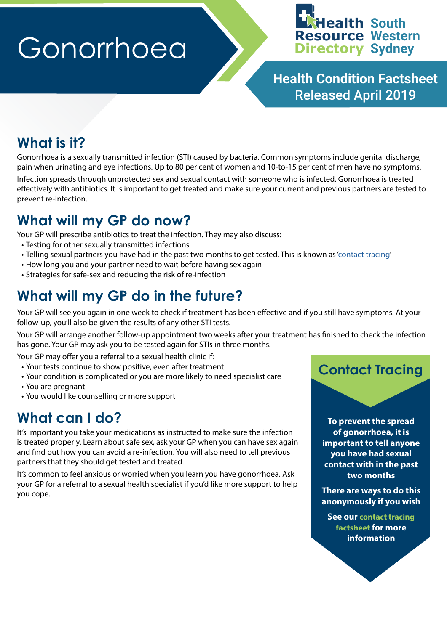# Gonorrhoea



**Health Condition Factsheet** Released April 2019

#### **What is it?**

Gonorrhoea is a sexually transmitted infection (STI) caused by bacteria. Common symptoms include genital discharge, pain when urinating and eye infections. Up to 80 per cent of women and 10-to-15 per cent of men have no symptoms.

Infection spreads through unprotected sex and sexual contact with someone who is infected. Gonorrhoea is treated effectively with antibiotics. It is important to get treated and make sure your current and previous partners are tested to prevent re-infection.

#### **What will my GP do now?**

Your GP will prescribe antibiotics to treat the infection. They may also discuss:

- Testing for other sexually transmitted infections
- Telling sexual partners you have had in the past two months to get tested. This is known as ['contact tracing](https://swsproject.healthpathways.org.au/Portals/31/factsheets/Contact%20Tracing.pdf)'
- How long you and your partner need to wait before having sex again
- Strategies for safe-sex and reducing the risk of re-infection

#### **What will my GP do in the future?**

Your GP will see you again in one week to check if treatment has been effective and if you still have symptoms. At your follow-up, you'll also be given the results of any other STI tests.

Your GP will arrange another follow-up appointment two weeks after your treatment has finished to check the infection has gone. Your GP may ask you to be tested again for STIs in three months.

Your GP may offer you a referral to a sexual health clinic if:

- Your tests continue to show positive, even after treatment
- Your condition is complicated or you are more likely to need specialist care
- You are pregnant
- You would like counselling or more support

#### **What can I do?**

It's important you take your medications as instructed to make sure the infection is treated properly. Learn about safe sex, ask your GP when you can have sex again and find out how you can avoid a re-infection. You will also need to tell previous partners that they should get tested and treated.

It's common to feel anxious or worried when you learn you have gonorrhoea. Ask your GP for a referral to a sexual health specialist if you'd like more support to help you cope.

#### **Contact Tracing**

**To prevent the spread of gonorrhoea, it is important to tell anyone you have had sexual contact with in the past two months**

**There are ways to do this anonymously if you wish**

**See our [contact tracing](https://swsproject.healthpathways.org.au/Portals/31/factsheets/Contact%20Tracing.pdf)  [factsheet](https://swsproject.healthpathways.org.au/Portals/31/factsheets/Contact%20Tracing.pdf) for more information**